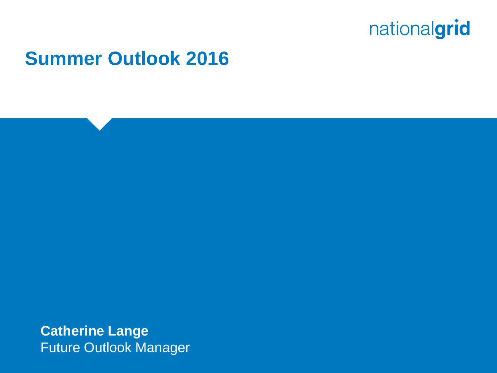

### **Summer Outlook 2016**

**Catherine Lange** Future Outlook Manager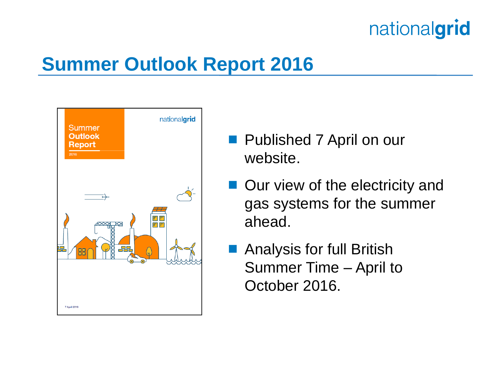# **Summer Outlook Report 2016**



- **Published 7 April on our** website.
- Our view of the electricity and gas systems for the summer ahead.
- Analysis for full British Summer Time – April to October 2016.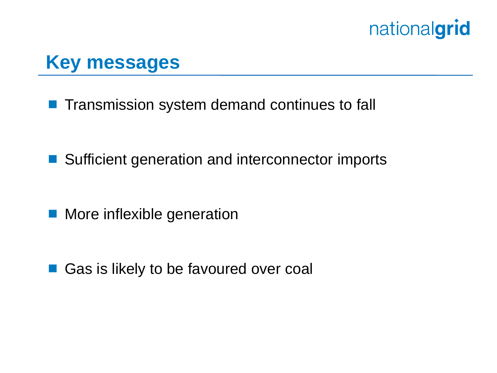### **Key messages**

**Transmission system demand continues to fall** 

- Sufficient generation and interconnector imports
- More inflexible generation

■ Gas is likely to be favoured over coal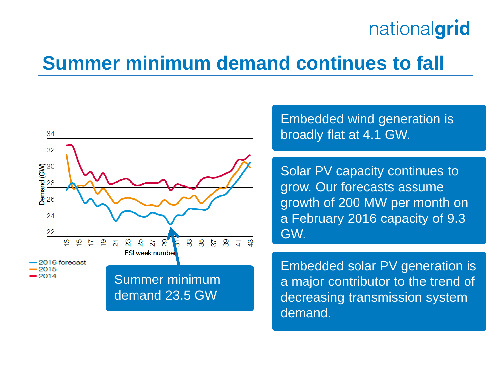### **Summer minimum demand continues to fall**



Embedded wind generation is broadly flat at 4.1 GW.

Solar PV capacity continues to grow. Our forecasts assume growth of 200 MW per month on a February 2016 capacity of 9.3 GW.

Embedded solar PV generation is a major contributor to the trend of decreasing transmission system demand.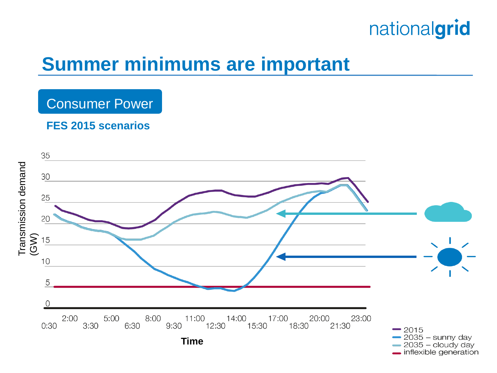## **Summer minimums are important**

#### Consumer Power

#### **FES 2015 scenarios**

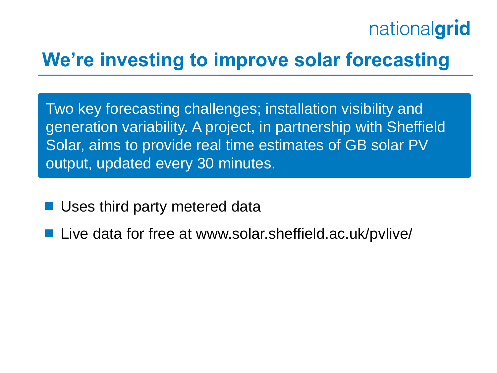# **We're investing to improve solar forecasting**

Two key forecasting challenges; installation visibility and generation variability. A project, in partnership with Sheffield Solar, aims to provide real time estimates of GB solar PV output, updated every 30 minutes.

- Uses third party metered data
- Live data for free at www.solar.sheffield.ac.uk/pvlive/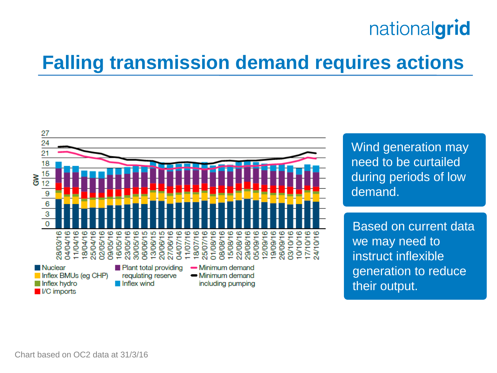# **Falling transmission demand requires actions**



Wind generation may need to be curtailed during periods of low demand.

Based on current data we may need to instruct inflexible generation to reduce their output.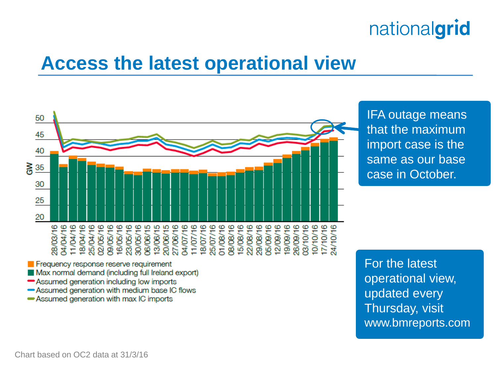### **Access the latest operational view**



IFA outage means that the maximum import case is the same as our base case in October.

- Assumed generation including low imports
- -Assumed generation with medium base IC flows
- Assumed generation with max IC imports

For the latest operational view, updated every Thursday, visit www.bmreports.com